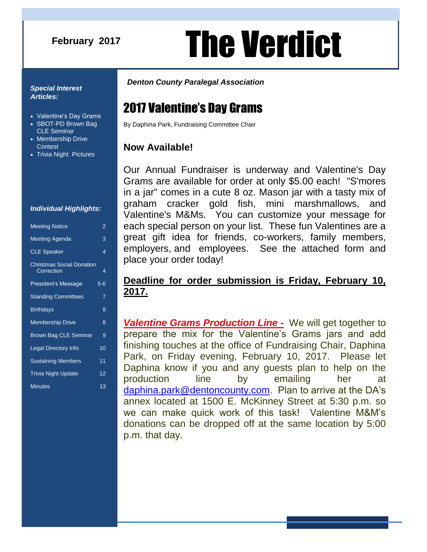### **February 2017**

# **August 2016** The Verdict

#### *Special Interest Articles:*

- Valentine's Day Grams
- SBOT-PD Brown Bag CLE Seminar
- Membership Drive **Contest**
- Trivia Night Pictures

#### *Individual Highlights:*

| <b>Meeting Notice</b>                          | $\overline{2}$ |
|------------------------------------------------|----------------|
| Meeting Agenda                                 | 3              |
| <b>CLE Speaker</b>                             | 4              |
| <b>Christmas Social Donation</b><br>Correction | 4              |
| President's Message                            | $5 - 6$        |
| <b>Standing Committees</b>                     | 7              |
| <b>Birthdays</b>                               | 8              |
| <b>Membership Drive</b>                        | 8              |
| <b>Brown Bag CLE Seminar</b>                   | 9              |
| <b>Legal Directory Info</b>                    | 10             |
| <b>Sustaining Members</b>                      | 11             |
| <b>Trivia Night Update</b>                     | 12             |
| <b>Minutes</b>                                 | 13             |

#### *Denton County Paralegal Association*

# 2017 Valentine's Day Grams

By Daphina Park, Fundraising Committee Chair

### **Now Available!**

Our Annual Fundraiser is underway and Valentine's Day Grams are available for order at only \$5.00 each! "S'mores in a jar" comes in a cute 8 oz. Mason jar with a tasty mix of graham cracker gold fish, mini marshmallows, and Valentine's M&Ms. You can customize your message for each special person on your list. These fun Valentines are a great gift idea for friends, co-workers, family members, employers, and employees. See the attached form and place your order today!

### **Deadline for order submission is Friday, February 10, 2017.**

*Valentine Grams Production Line -* We will get together to prepare the mix for the Valentine's Grams jars and add finishing touches at the office of Fundraising Chair, Daphina Park, on Friday evening, February 10, 2017. Please let Daphina know if you and any guests plan to help on the production line by emailing her at [daphina.park@dentoncounty.com.](mailto:daphina.park@dentoncounty.com) Plan to arrive at the DA's annex located at 1500 E. McKinney Street at 5:30 p.m. so we can make quick work of this task! Valentine M&M's donations can be dropped off at the same location by 5:00 p.m. that day.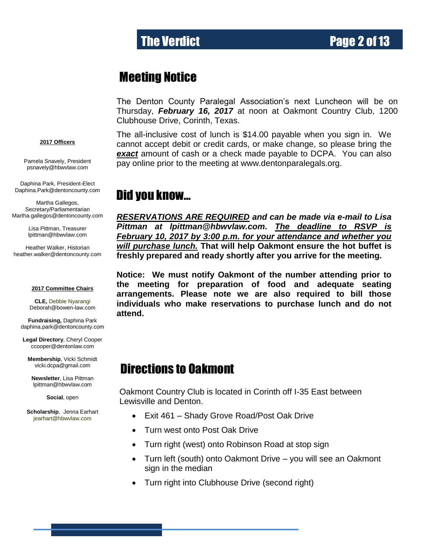# Meeting Notice

The Denton County Paralegal Association's next Luncheon will be on Thursday, *February 16, 2017* at noon at Oakmont Country Club, 1200 Clubhouse Drive, Corinth, Texas.

#### **2017 Officers**

Pamela Snavely, President [psnavely@hbwvlaw.com](mailto:psnavely@hbwvlaw.com)

Daphina Park, President-Elect Daphina.Park@dentoncounty.com

Martha Gallegos, Secretary/Parliamentarian Martha.gallegos@dentoncounty.com

> Lisa Pittman, Treasurer [lpittman@hbwvlaw.com](mailto:lpittman@hbwvlaw.com)

Heather Walker, Historian [heather.walker@dentoncounty.com](mailto:Kim.guertler@dentoncounty.com)

#### **2017 Committee Chairs**

**CLE,** Debbie Nyarangi Deborah@bowen-law.com

**Fundraising,** Daphina Park daphina.park@dentoncounty.com

**Legal Directory**, Cheryl Cooper [ccooper@dentonlaw.com](mailto:BHunter410@gmail.com)

**Membership**, Vicki Schmidt [vicki.dcpa@gmail.com](mailto:gottigina@yahoo.com)

**Newsletter**, Lisa Pittman [lpittman@hbwvlaw.com](mailto:lpittman@hbwvlaw.com)

**Social**, open

**Scholarship**, Jenna Earhart jearhart@hbwvlaw.com

The all-inclusive cost of lunch is \$14.00 payable when you sign in. We cannot accept debit or credit cards, or make change, so please bring the *exact* amount of cash or a check made payable to DCPA. You can also pay online prior to the meeting at www.dentonparalegals.org.

### Did you know…

*RESERVATIONS ARE REQUIRED and can be made via e-mail to Lisa Pittman at lpittman@hbwvlaw.com. The deadline to RSVP is February 10, 2017 by 3:00 p.m. for your attendance and whether you will purchase lunch.* **That will help Oakmont ensure the hot buffet is freshly prepared and ready shortly after you arrive for the meeting.**

**Notice: We must notify Oakmont of the number attending prior to the meeting for preparation of food and adequate seating arrangements. Please note we are also required to bill those individuals who make reservations to purchase lunch and do not attend.**

# Directions to Oakmont

Oakmont Country Club is located in Corinth off I-35 East between Lewisville and Denton.

- Exit 461 Shady Grove Road/Post Oak Drive
- Turn west onto Post Oak Drive
- Turn right (west) onto Robinson Road at stop sign
- Turn left (south) onto Oakmont Drive you will see an Oakmont sign in the median
- Turn right into Clubhouse Drive (second right)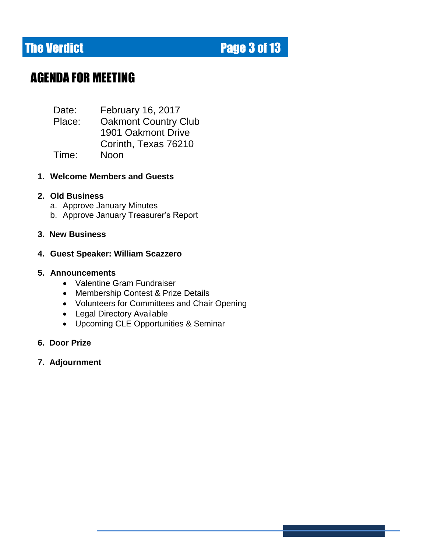# **The Verdict Electronic Electronic Page 3 of 13**

# AGENDA FOR MEETING

Date: February 16, 2017 Place: Oakmont Country Club 1901 Oakmont Drive Corinth, Texas 76210 Time: Noon

#### **1. Welcome Members and Guests**

#### **2. Old Business**

- a. Approve January Minutes
- b. Approve January Treasurer's Report

#### **3. New Business**

#### **4. Guest Speaker: William Scazzero**

#### **5. Announcements**

- Valentine Gram Fundraiser
- Membership Contest & Prize Details
- Volunteers for Committees and Chair Opening
- Legal Directory Available
- Upcoming CLE Opportunities & Seminar

#### **6. Door Prize**

**7. Adjournment**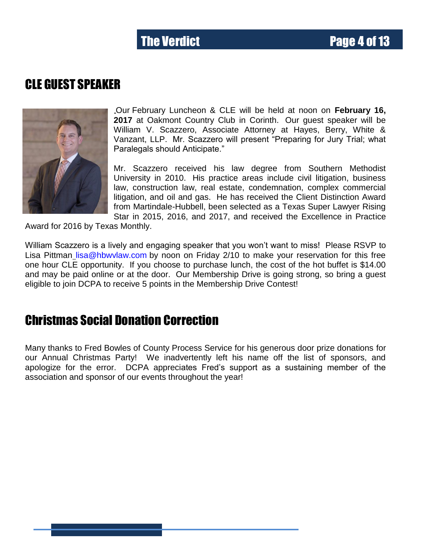# CLE GUEST SPEAKER



Our February Luncheon & CLE will be held at noon on **February 16, 2017** at Oakmont Country Club in Corinth. Our guest speaker will be William V. Scazzero, Associate Attorney at Hayes, Berry, White & Vanzant, LLP. Mr. Scazzero will present "Preparing for Jury Trial; what Paralegals should Anticipate."

Mr. Scazzero received his law degree from Southern Methodist University in 2010. His practice areas include civil litigation, business law, construction law, real estate, condemnation, complex commercial litigation, and oil and gas. He has received the Client Distinction Award from Martindale-Hubbell, been selected as a Texas Super Lawyer Rising Star in 2015, 2016, and 2017, and received the Excellence in Practice

Award for 2016 by Texas Monthly.

William Scazzero is a lively and engaging speaker that you won't want to miss! Please RSVP to Lisa Pittman lisa@hbwylaw.com by noon on Friday 2/10 to make your reservation for this free one hour CLE opportunity. If you choose to purchase lunch, the cost of the hot buffet is \$14.00 and may be paid online or at the door. Our Membership Drive is going strong, so bring a guest eligible to join DCPA to receive 5 points in the Membership Drive Contest!

## Christmas Social Donation Correction

Many thanks to Fred Bowles of County Process Service for his generous door prize donations for our Annual Christmas Party! We inadvertently left his name off the list of sponsors, and apologize for the error. DCPA appreciates Fred's support as a sustaining member of the association and sponsor of our events throughout the year!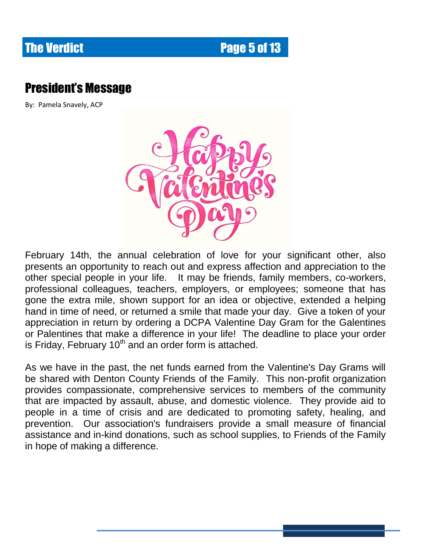# **The Verdict Electronic Electronic Page 5 of 13**

# President's Message

By: Pamela Snavely, ACP



February 14th, the annual celebration of love for your significant other, also presents an opportunity to reach out and express affection and appreciation to the other special people in your life. It may be friends, family members, co-workers, professional colleagues, teachers, employers, or employees; someone that has gone the extra mile, shown support for an idea or objective, extended a helping hand in time of need, or returned a smile that made your day. Give a token of your appreciation in return by ordering a DCPA Valentine Day Gram for the Galentines or Palentines that make a difference in your life! The deadline to place your order is Friday, February  $10<sup>th</sup>$  and an order form is attached.

As we have in the past, the net funds earned from the Valentine's Day Grams will be shared with Denton County Friends of the Family. This non-profit organization provides compassionate, comprehensive services to members of the community that are impacted by assault, abuse, and domestic violence. They provide aid to people in a time of crisis and are dedicated to promoting safety, healing, and prevention. Our association's fundraisers provide a small measure of financial assistance and in-kind donations, such as school supplies, to Friends of the Family in hope of making a difference.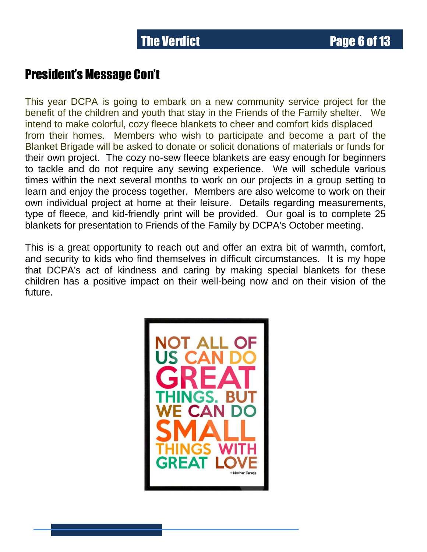## President's Message Con't

This year DCPA is going to embark on a new community service project for the benefit of the children and youth that stay in the Friends of the Family shelter. We intend to make colorful, cozy fleece blankets to cheer and comfort kids displaced from their homes. Members who wish to participate and become a part of the Blanket Brigade will be asked to donate or solicit donations of materials or funds for their own project. The cozy no-sew fleece blankets are easy enough for beginners to tackle and do not require any sewing experience. We will schedule various times within the next several months to work on our projects in a group setting to learn and enjoy the process together. Members are also welcome to work on their own individual project at home at their leisure. Details regarding measurements, type of fleece, and kid-friendly print will be provided. Our goal is to complete 25 blankets for presentation to Friends of the Family by DCPA's October meeting.

This is a great opportunity to reach out and offer an extra bit of warmth, comfort, and security to kids who find themselves in difficult circumstances. It is my hope that DCPA's act of kindness and caring by making special blankets for these children has a positive impact on their well-being now and on their vision of the future.

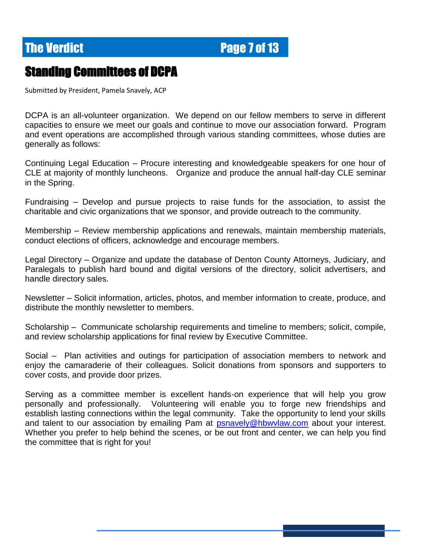**The Verdict Electronic Electronic Page 7 of 13** 

### Standing Committees of DCPA

Submitted by President, Pamela Snavely, ACP

DCPA is an all-volunteer organization. We depend on our fellow members to serve in different capacities to ensure we meet our goals and continue to move our association forward. Program and event operations are accomplished through various standing committees, whose duties are generally as follows:

Continuing Legal Education – Procure interesting and knowledgeable speakers for one hour of CLE at majority of monthly luncheons. Organize and produce the annual half-day CLE seminar in the Spring.

Fundraising – Develop and pursue projects to raise funds for the association, to assist the charitable and civic organizations that we sponsor, and provide outreach to the community.

Membership – Review membership applications and renewals, maintain membership materials, conduct elections of officers, acknowledge and encourage members.

Legal Directory – Organize and update the database of Denton County Attorneys, Judiciary, and Paralegals to publish hard bound and digital versions of the directory, solicit advertisers, and handle directory sales.

Newsletter – Solicit information, articles, photos, and member information to create, produce, and distribute the monthly newsletter to members.

Scholarship – Communicate scholarship requirements and timeline to members; solicit, compile, and review scholarship applications for final review by Executive Committee.

Social – Plan activities and outings for participation of association members to network and enjoy the camaraderie of their colleagues. Solicit donations from sponsors and supporters to cover costs, and provide door prizes.

Serving as a committee member is excellent hands-on experience that will help you grow personally and professionally. Volunteering will enable you to forge new friendships and establish lasting connections within the legal community. Take the opportunity to lend your skills and talent to our association by emailing Pam at psnavely@hbwylaw.com about your interest. Whether you prefer to help behind the scenes, or be out front and center, we can help you find the committee that is right for you!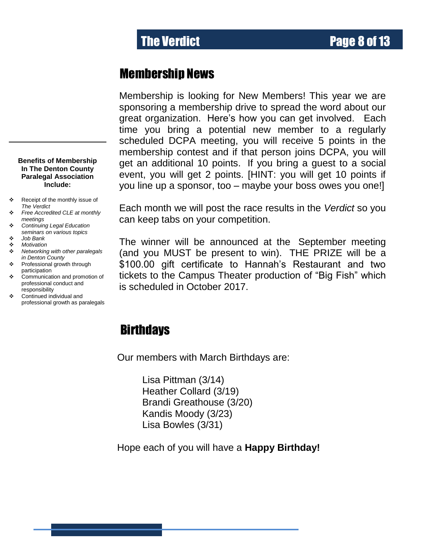### Membership News

Membership is looking for New Members! This year we are sponsoring a membership drive to spread the word about our great organization. Here's how you can get involved. Each time you bring a potential new member to a regularly scheduled DCPA meeting, you will receive 5 points in the membership contest and if that person joins DCPA, you will get an additional 10 points. If you bring a guest to a social event, you will get 2 points. [HINT: you will get 10 points if you line up a sponsor, too – maybe your boss owes you one!]

Each month we will post the race results in the *Verdict* so you can keep tabs on your competition.

The winner will be announced at the September meeting (and you MUST be present to win). THE PRIZE will be a \$100.00 gift certificate to Hannah's Restaurant and two tickets to the Campus Theater production of "Big Fish" which is scheduled in October 2017.

## **Birthdays**

Our members with March Birthdays are:

Lisa Pittman (3/14) Heather Collard (3/19) Brandi Greathouse (3/20) Kandis Moody (3/23) kandis Moody (3/2<br>Lisa Bowles (3/31)

Hope each of you will have a **Happy Birthday!**

**Benefits of Membership In The Denton County Paralegal Association Include:**

- Receipt of the monthly issue of *The Verdict*
- *Free Accredited CLE at monthly meetings*
- *Continuing Legal Education seminars on various topics*
- *Job Bank Motivation*
- 
- *Networking with other paralegals in Denton County*
- Professional growth through participation
- ❖ Communication and promotion of professional conduct and responsibility
- Continued individual and professional growth as paralegals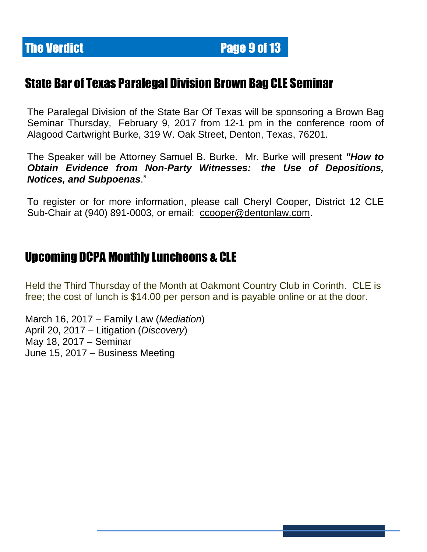# **The Verdict Electronic Electronic Page 9 of 13**

# State Bar of Texas Paralegal Division Brown Bag CLE Seminar

The Paralegal Division of the State Bar Of Texas will be sponsoring a Brown Bag Seminar Thursday, February 9, 2017 from 12-1 pm in the conference room of Alagood Cartwright Burke, 319 W. Oak Street, Denton, Texas, 76201.

The Speaker will be Attorney Samuel B. Burke. Mr. Burke will present *"How to Obtain Evidence from Non-Party Witnesses: the Use of Depositions, Notices, and Subpoenas*."

To register or for more information, please call Cheryl Cooper, District 12 CLE Sub-Chair at (940) 891-0003, or email: [ccooper@dentonlaw.com.](mailto:ccooper@dentonlaw.com)

# Upcoming DCPA Monthly Luncheons & CLE

Held the Third Thursday of the Month at Oakmont Country Club in Corinth. CLE is free; the cost of lunch is \$14.00 per person and is payable online or at the door.

March 16, 2017 – Family Law (*Mediation*) April 20, 2017 – Litigation (*Discovery*) May 18, 2017 – Seminar June 15, 2017 – Business Meeting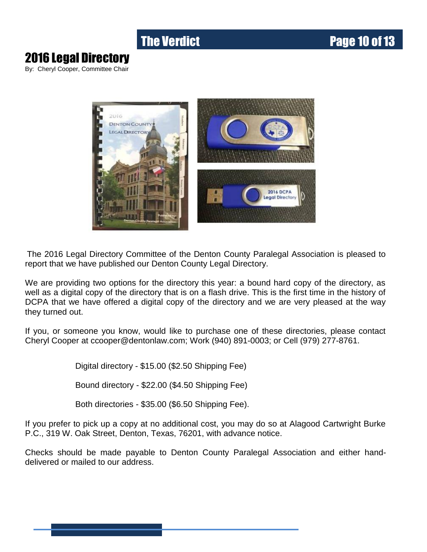# **The Verdict Community Community Page 10 of 13**

# 2016 Legal Directory

By: Cheryl Cooper, Committee Chair



The 2016 Legal Directory Committee of the Denton County Paralegal Association is pleased to report that we have published our Denton County Legal Directory.

We are providing two options for the directory this year: a bound hard copy of the directory, as well as a digital copy of the directory that is on a flash drive. This is the first time in the history of DCPA that we have offered a digital copy of the directory and we are very pleased at the way they turned out.

If you, or someone you know, would like to purchase one of these directories, please contact Cheryl Cooper at ccooper@dentonlaw.com; Work (940) 891-0003; or Cell (979) 277-8761.

Digital directory - \$15.00 (\$2.50 Shipping Fee)

Bound directory - \$22.00 (\$4.50 Shipping Fee)

Both directories - \$35.00 (\$6.50 Shipping Fee).

If you prefer to pick up a copy at no additional cost, you may do so at Alagood Cartwright Burke P.C., 319 W. Oak Street, Denton, Texas, 76201, with advance notice.

Checks should be made payable to Denton County Paralegal Association and either handdelivered or mailed to our address.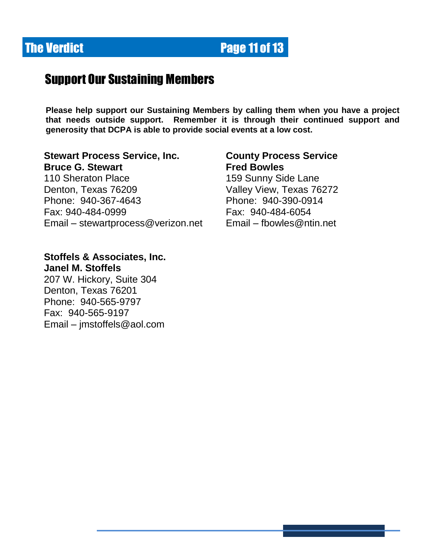# **The Verdict Community Community Page 11 of 13**

# Support Our Sustaining Members

**Please help support our Sustaining Members by calling them when you have a project that needs outside support. Remember it is through their continued support and generosity that DCPA is able to provide social events at a low cost.**

#### **Stewart Process Service, Inc. County Process Service Bruce G. Stewart Fred Bowles**

110 Sheraton Place 159 Sunny Side Lane Denton, Texas 76209 Valley View, Texas 76272 Phone: 940-367-4643 Phone: 940-390-0914 Fax: 940-484-0999 Fax: 940-484-6054 Email – [stewartprocess@verizon.net](mailto:stewartprocess@verizon.net) Email – [fbowles@ntin.net](mailto:fbowles@ntin.net) 

#### **Stoffels & Associates, Inc. Janel M. Stoffels**

207 W. Hickory, Suite 304 Denton, Texas 76201 Phone: 940-565-9797 Fax: 940-565-9197 Email – [jmstoffels@aol.com](mailto:jmstoffels@aol.com)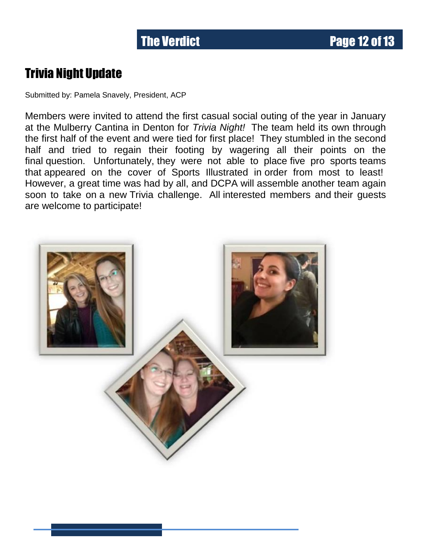# Trivia Night Update

Submitted by: Pamela Snavely, President, ACP

Members were invited to attend the first casual social outing of the year in January at the Mulberry Cantina in Denton for *Trivia Night!* The team held its own through the first half of the event and were tied for first place! They stumbled in the second half and tried to regain their footing by wagering all their points on the final question. Unfortunately, they were not able to place five pro sports teams that appeared on the cover of Sports Illustrated in order from most to least! However, a great time was had by all, and DCPA will assemble another team again soon to take on a new Trivia challenge. All interested members and their guests are welcome to participate!